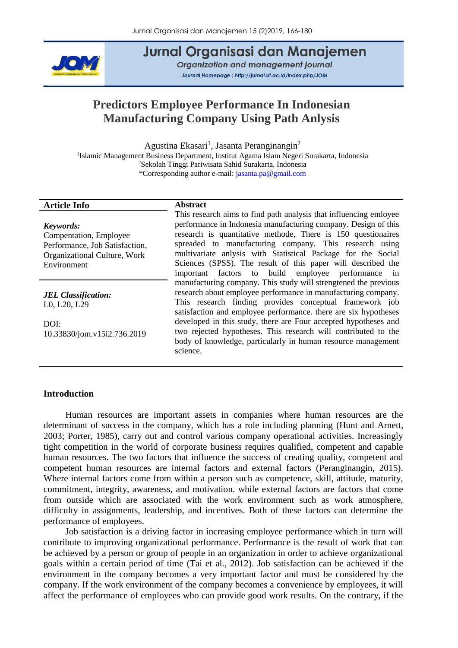

# Jurnal Organisasi dan Manajemen

Organization and management journal Journal Homepage: http://jurnal.ut.ac.id/index.php/JOM

# **Predictors Employee Performance In Indonesian Manufacturing Company Using Path Anlysis**

Agustina Ekasari<sup>1</sup>, Jasanta Peranginangin<sup>2</sup>

<sup>1</sup>Islamic Management Business Department, Institut Agama Islam Negeri Surakarta, Indonesia <sup>2</sup>Sekolah Tinggi Pariwisata Sahid Surakarta, Indonesia \*Corresponding author e-mail: [jasanta.pa@gmail.com](file:///E:/file%20JOM/JOM%20Vol%2015%20No%202%20(2019)/jasanta.pa@gmail.com)

### **Article Info Abstract**

*Keywords:* Compentation, Employee Performance, Job Satisfaction, Organizational Culture, Work Environment

*JEL Classification:* L0, L20, L29

DOI: 10.33830/jom.v15i2.736.2019

This research aims to find path analysis that influencing emloyee performance in Indonesia manufacturing company. Design of this research is quantitative methode, There is 150 questionaires spreaded to manufacturing company. This research using multivariate anlysis with Statistical Package for the Social Sciences (SPSS). The result of this paper will described the important factors to build employee performance in manufacturing company. This study will strengtened the previous research about employee performance in manufacturing company. This research finding provides conceptual framework job satisfaction and employee performance. there are six hypotheses developed in this study, there are Four accepted hypotheses and two rejected hypotheses. This research will contributed to the body of knowledge, particularly in human resource management science.

# **Introduction**

Human resources are important assets in companies where human resources are the determinant of success in the company, which has a role including planning (Hunt and Arnett, 2003; Porter, 1985), carry out and control various company operational activities. Increasingly tight competition in the world of corporate business requires qualified, competent and capable human resources. The two factors that influence the success of creating quality, competent and competent human resources are internal factors and external factors (Peranginangin, 2015). Where internal factors come from within a person such as competence, skill, attitude, maturity, commitment, integrity, awareness, and motivation. while external factors are factors that come from outside which are associated with the work environment such as work atmosphere, difficulty in assignments, leadership, and incentives. Both of these factors can determine the performance of employees.

Job satisfaction is a driving factor in increasing employee performance which in turn will contribute to improving organizational performance. Performance is the result of work that can be achieved by a person or group of people in an organization in order to achieve organizational goals within a certain period of time (Tai et al., 2012). Job satisfaction can be achieved if the environment in the company becomes a very important factor and must be considered by the company. If the work environment of the company becomes a convenience by employees, it will affect the performance of employees who can provide good work results. On the contrary, if the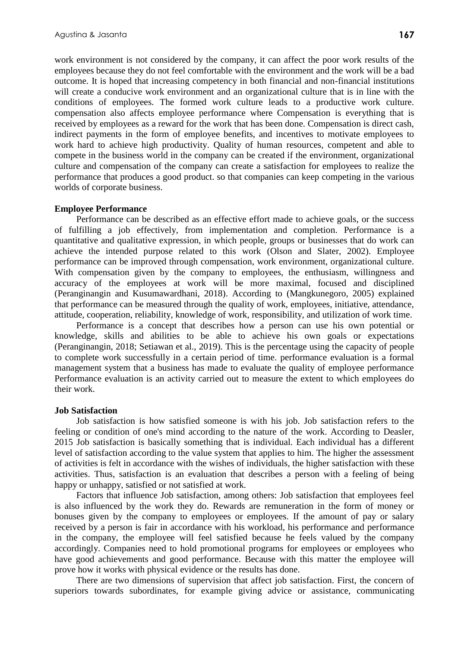work environment is not considered by the company, it can affect the poor work results of the employees because they do not feel comfortable with the environment and the work will be a bad outcome. It is hoped that increasing competency in both financial and non-financial institutions will create a conducive work environment and an organizational culture that is in line with the conditions of employees. The formed work culture leads to a productive work culture. compensation also affects employee performance where Compensation is everything that is received by employees as a reward for the work that has been done. Compensation is direct cash, indirect payments in the form of employee benefits, and incentives to motivate employees to work hard to achieve high productivity. Quality of human resources, competent and able to compete in the business world in the company can be created if the environment, organizational culture and compensation of the company can create a satisfaction for employees to realize the performance that produces a good product. so that companies can keep competing in the various worlds of corporate business.

## **Employee Performance**

Performance can be described as an effective effort made to achieve goals, or the success of fulfilling a job effectively, from implementation and completion. Performance is a quantitative and qualitative expression, in which people, groups or businesses that do work can achieve the intended purpose related to this work (Olson and Slater, 2002). Employee performance can be improved through compensation, work environment, organizational culture. With compensation given by the company to employees, the enthusiasm, willingness and accuracy of the employees at work will be more maximal, focused and disciplined (Peranginangin and Kusumawardhani, 2018). According to (Mangkunegoro, 2005) explained that performance can be measured through the quality of work, employees, initiative, attendance, attitude, cooperation, reliability, knowledge of work, responsibility, and utilization of work time.

Performance is a concept that describes how a person can use his own potential or knowledge, skills and abilities to be able to achieve his own goals or expectations (Peranginangin, 2018; Setiawan et al., 2019). This is the percentage using the capacity of people to complete work successfully in a certain period of time. performance evaluation is a formal management system that a business has made to evaluate the quality of employee performance Performance evaluation is an activity carried out to measure the extent to which employees do their work.

### **Job Satisfaction**

Job satisfaction is how satisfied someone is with his job. Job satisfaction refers to the feeling or condition of one's mind according to the nature of the work. According to Deasler, 2015 Job satisfaction is basically something that is individual. Each individual has a different level of satisfaction according to the value system that applies to him. The higher the assessment of activities is felt in accordance with the wishes of individuals, the higher satisfaction with these activities. Thus, satisfaction is an evaluation that describes a person with a feeling of being happy or unhappy, satisfied or not satisfied at work.

Factors that influence Job satisfaction, among others: Job satisfaction that employees feel is also influenced by the work they do. Rewards are remuneration in the form of money or bonuses given by the company to employees or employees. If the amount of pay or salary received by a person is fair in accordance with his workload, his performance and performance in the company, the employee will feel satisfied because he feels valued by the company accordingly. Companies need to hold promotional programs for employees or employees who have good achievements and good performance. Because with this matter the employee will prove how it works with physical evidence or the results has done.

There are two dimensions of supervision that affect job satisfaction. First, the concern of superiors towards subordinates, for example giving advice or assistance, communicating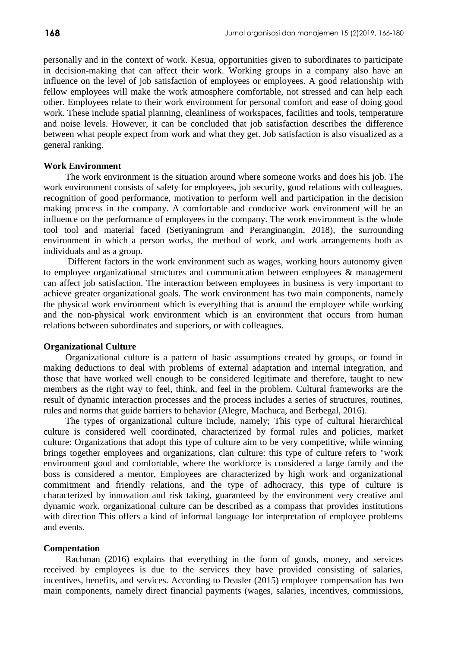personally and in the context of work. Kesua, opportunities given to subordinates to participate in decision-making that can affect their work. Working groups in a company also have an influence on the level of job satisfaction of employees or employees. A good relationship with fellow employees will make the work atmosphere comfortable, not stressed and can help each other. Employees relate to their work environment for personal comfort and ease of doing good work. These include spatial planning, cleanliness of workspaces, facilities and tools, temperature and noise levels. However, it can be concluded that job satisfaction describes the difference between what people expect from work and what they get. Job satisfaction is also visualized as a general ranking.

### **Work Environment**

The work environment is the situation around where someone works and does his job. The work environment consists of safety for employees, job security, good relations with colleagues, recognition of good performance, motivation to perform well and participation in the decision making process in the company. A comfortable and conducive work environment will be an influence on the performance of employees in the company. The work environment is the whole tool tool and material faced (Setiyaningrum and Peranginangin, 2018), the surrounding environment in which a person works, the method of work, and work arrangements both as individuals and as a group.

Different factors in the work environment such as wages, working hours autonomy given to employee organizational structures and communication between employees & management can affect job satisfaction. The interaction between employees in business is very important to achieve greater organizational goals. The work environment has two main components, namely the physical work environment which is everything that is around the employee while working and the non-physical work environment which is an environment that occurs from human relations between subordinates and superiors, or with colleagues.

#### **Organizational Culture**

Organizational culture is a pattern of basic assumptions created by groups, or found in making deductions to deal with problems of external adaptation and internal integration, and those that have worked well enough to be considered legitimate and therefore, taught to new members as the right way to feel, think, and feel in the problem. Cultural frameworks are the result of dynamic interaction processes and the process includes a series of structures, routines, rules and norms that guide barriers to behavior (Alegre, Machuca, and Berbegal, 2016).

The types of organizational culture include, namely; This type of cultural hierarchical culture is considered well coordinated, characterized by formal rules and policies, market culture: Organizations that adopt this type of culture aim to be very competitive, while winning brings together employees and organizations, clan culture: this type of culture refers to "work environment good and comfortable, where the workforce is considered a large family and the boss is considered a mentor, Employees are characterized by high work and organizational commitment and friendly relations, and the type of adhocracy, this type of culture is characterized by innovation and risk taking, guaranteed by the environment very creative and dynamic work. organizational culture can be described as a compass that provides institutions with direction This offers a kind of informal language for interpretation of employee problems and events.

#### **Compentation**

Rachman (2016) explains that everything in the form of goods, money, and services received by employees is due to the services they have provided consisting of salaries, incentives, benefits, and services. According to Deasler (2015) employee compensation has two main components, namely direct financial payments (wages, salaries, incentives, commissions,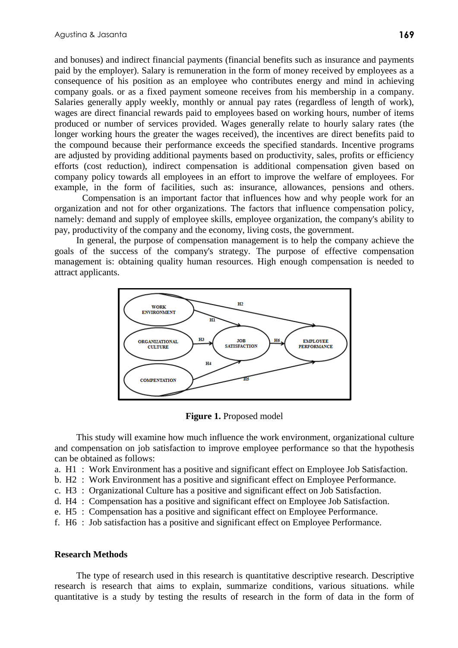and bonuses) and indirect financial payments (financial benefits such as insurance and payments paid by the employer). Salary is remuneration in the form of money received by employees as a consequence of his position as an employee who contributes energy and mind in achieving company goals. or as a fixed payment someone receives from his membership in a company. Salaries generally apply weekly, monthly or annual pay rates (regardless of length of work), wages are direct financial rewards paid to employees based on working hours, number of items produced or number of services provided. Wages generally relate to hourly salary rates (the longer working hours the greater the wages received), the incentives are direct benefits paid to the compound because their performance exceeds the specified standards. Incentive programs are adjusted by providing additional payments based on productivity, sales, profits or efficiency efforts (cost reduction), indirect compensation is additional compensation given based on company policy towards all employees in an effort to improve the welfare of employees. For example, in the form of facilities, such as: insurance, allowances, pensions and others.

Compensation is an important factor that influences how and why people work for an organization and not for other organizations. The factors that influence compensation policy, namely: demand and supply of employee skills, employee organization, the company's ability to pay, productivity of the company and the economy, living costs, the government.

In general, the purpose of compensation management is to help the company achieve the goals of the success of the company's strategy. The purpose of effective compensation management is: obtaining quality human resources. High enough compensation is needed to attract applicants.



**Figure 1.** Proposed model

This study will examine how much influence the work environment, organizational culture and compensation on job satisfaction to improve employee performance so that the hypothesis can be obtained as follows:

- a. H1 : Work Environment has a positive and significant effect on Employee Job Satisfaction.
- b. H2 : Work Environment has a positive and significant effect on Employee Performance.
- c. H3 : Organizational Culture has a positive and significant effect on Job Satisfaction.
- d. H4 : Compensation has a positive and significant effect on Employee Job Satisfaction.
- e. H5 : Compensation has a positive and significant effect on Employee Performance.
- f. H6 : Job satisfaction has a positive and significant effect on Employee Performance.

# **Research Methods**

The type of research used in this research is quantitative descriptive research. Descriptive research is research that aims to explain, summarize conditions, various situations. while quantitative is a study by testing the results of research in the form of data in the form of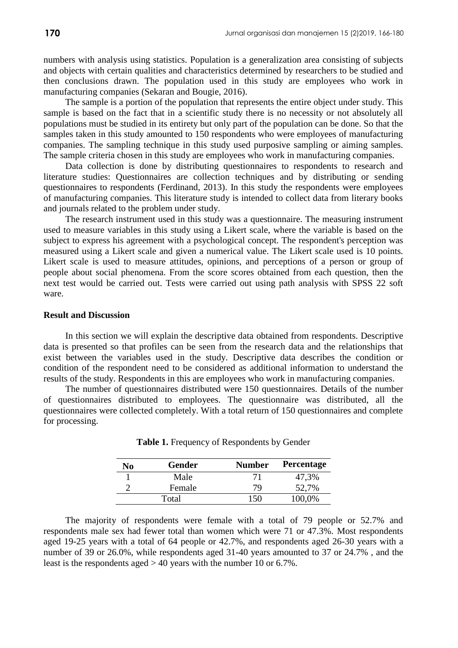numbers with analysis using statistics. Population is a generalization area consisting of subjects and objects with certain qualities and characteristics determined by researchers to be studied and then conclusions drawn. The population used in this study are employees who work in manufacturing companies (Sekaran and Bougie, 2016).

The sample is a portion of the population that represents the entire object under study. This sample is based on the fact that in a scientific study there is no necessity or not absolutely all populations must be studied in its entirety but only part of the population can be done. So that the samples taken in this study amounted to 150 respondents who were employees of manufacturing companies. The sampling technique in this study used purposive sampling or aiming samples. The sample criteria chosen in this study are employees who work in manufacturing companies.

Data collection is done by distributing questionnaires to respondents to research and literature studies: Questionnaires are collection techniques and by distributing or sending questionnaires to respondents (Ferdinand, 2013). In this study the respondents were employees of manufacturing companies. This literature study is intended to collect data from literary books and journals related to the problem under study.

The research instrument used in this study was a questionnaire. The measuring instrument used to measure variables in this study using a Likert scale, where the variable is based on the subject to express his agreement with a psychological concept. The respondent's perception was measured using a Likert scale and given a numerical value. The Likert scale used is 10 points. Likert scale is used to measure attitudes, opinions, and perceptions of a person or group of people about social phenomena. From the score scores obtained from each question, then the next test would be carried out. Tests were carried out using path analysis with SPSS 22 soft ware.

#### **Result and Discussion**

In this section we will explain the descriptive data obtained from respondents. Descriptive data is presented so that profiles can be seen from the research data and the relationships that exist between the variables used in the study. Descriptive data describes the condition or condition of the respondent need to be considered as additional information to understand the results of the study. Respondents in this are employees who work in manufacturing companies.

The number of questionnaires distributed were 150 questionnaires. Details of the number of questionnaires distributed to employees. The questionnaire was distributed, all the questionnaires were collected completely. With a total return of 150 questionnaires and complete for processing.

| No    | <b>Gender</b> | <b>Number</b> | <b>Percentage</b> |  |  |
|-------|---------------|---------------|-------------------|--|--|
|       | Male          | . 7 L         | 47,3%             |  |  |
|       | Female        | 79            | 52,7%             |  |  |
| Total |               |               | 100,0%            |  |  |

**Table 1.** Frequency of Respondents by Gender

The majority of respondents were female with a total of 79 people or 52.7% and respondents male sex had fewer total than women which were 71 or 47.3%. Most respondents aged 19-25 years with a total of 64 people or 42.7%, and respondents aged 26-30 years with a number of 39 or 26.0%, while respondents aged 31-40 years amounted to 37 or 24.7% , and the least is the respondents aged  $> 40$  years with the number 10 or 6.7%.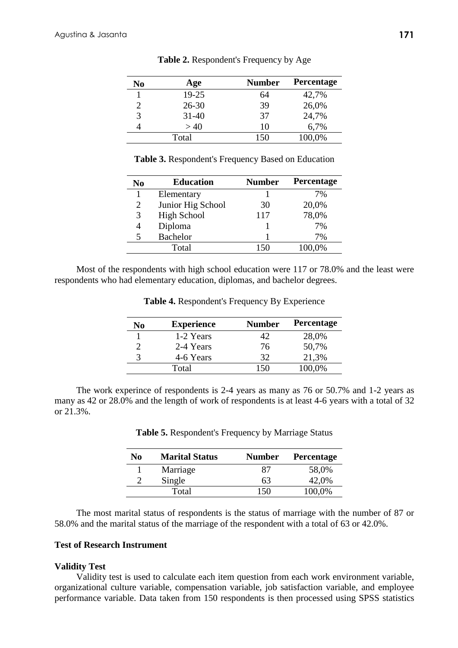| No                          | Age       | <b>Number</b> | <b>Percentage</b> |
|-----------------------------|-----------|---------------|-------------------|
|                             | 19-25     | 64            | 42,7%             |
| $\mathcal{D}_{\mathcal{L}}$ | $26 - 30$ | 39            | 26,0%             |
| 3                           | $31 - 40$ | 37            | 24,7%             |
|                             | >40       | 10            | 6,7%              |
|                             | Total     | 150           | 100,0%            |

**Table 2.** Respondent's Frequency by Age

**Table 3.** Respondent's Frequency Based on Education

| <b>Education</b>   | <b>Number</b> | Percentage |
|--------------------|---------------|------------|
| Elementary         |               | 7%         |
| Junior Hig School  | 30            | 20,0%      |
| <b>High School</b> | 117           | 78,0%      |
| Diploma            |               | 7%         |
| <b>Bachelor</b>    |               | 7%         |
| Total              | 150           | 100.0%     |
|                    |               |            |

Most of the respondents with high school education were 117 or 78.0% and the least were respondents who had elementary education, diplomas, and bachelor degrees.

| No | <b>Experience</b> | <b>Number</b> | <b>Percentage</b> |
|----|-------------------|---------------|-------------------|
|    | 1-2 Years         | 42            | 28,0%             |
|    | 2-4 Years         | 76            | 50,7%             |
|    | 4-6 Years         | 32            | 21,3%             |
|    | Total             | $150 -$       | 100,0%            |

**Table 4.** Respondent's Frequency By Experience

The work experince of respondents is 2-4 years as many as 76 or 50.7% and 1-2 years as many as 42 or 28.0% and the length of work of respondents is at least 4-6 years with a total of 32 or 21.3%.

| N0 | <b>Marital Status</b> | <b>Number</b> | <b>Percentage</b> |
|----|-----------------------|---------------|-------------------|
|    | Marriage              | X I           | 58,0%             |
|    | Single                | 63            | 42,0%             |
|    | Total                 | 150           | 100,0%            |

**Table 5.** Respondent's Frequency by Marriage Status

The most marital status of respondents is the status of marriage with the number of 87 or 58.0% and the marital status of the marriage of the respondent with a total of 63 or 42.0%.

# **Test of Research Instrument**

# **Validity Test**

Validity test is used to calculate each item question from each work environment variable, organizational culture variable, compensation variable, job satisfaction variable, and employee performance variable. Data taken from 150 respondents is then processed using SPSS statistics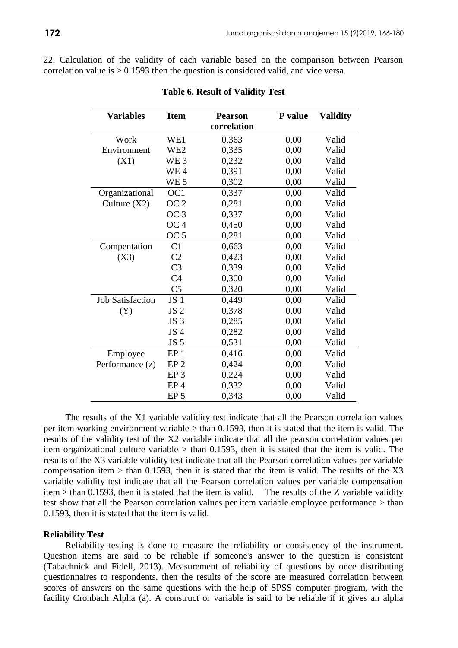22. Calculation of the validity of each variable based on the comparison between Pearson correlation value is  $> 0.1593$  then the question is considered valid, and vice versa.

| <b>Variables</b>        | <b>Item</b>     | <b>Pearson</b><br>correlation | P value | <b>Validity</b> |
|-------------------------|-----------------|-------------------------------|---------|-----------------|
| Work                    | WE1             | 0,363                         | 0,00    | Valid           |
| Environment             | WE <sub>2</sub> | 0,335                         | 0,00    | Valid           |
| (X1)                    | WE <sub>3</sub> | 0,232                         | 0,00    | Valid           |
|                         | WE <sub>4</sub> | 0,391                         | 0,00    | Valid           |
|                         | WE <sub>5</sub> | 0,302                         | 0,00    | Valid           |
| Organizational          | OC <sub>1</sub> | 0,337                         | 0.00    | Valid           |
| Culture $(X2)$          | OC <sub>2</sub> | 0,281                         | 0,00    | Valid           |
|                         | OC <sub>3</sub> | 0,337                         | 0,00    | Valid           |
|                         | OC <sub>4</sub> | 0,450                         | 0,00    | Valid           |
|                         | OC <sub>5</sub> | 0,281                         | 0,00    | Valid           |
| Compentation            | C <sub>1</sub>  | 0,663                         | 0,00    | Valid           |
| (X3)                    | C <sub>2</sub>  | 0,423                         | 0,00    | Valid           |
|                         | C <sub>3</sub>  | 0,339                         | 0,00    | Valid           |
|                         | C <sub>4</sub>  | 0,300                         | 0.00    | Valid           |
|                         | C <sub>5</sub>  | 0,320                         | 0,00    | Valid           |
| <b>Job Satisfaction</b> | JS <sub>1</sub> | 0,449                         | 0,00    | Valid           |
| (Y)                     | JS <sub>2</sub> | 0,378                         | 0,00    | Valid           |
|                         | JS <sub>3</sub> | 0,285                         | 0,00    | Valid           |
|                         | JS <sub>4</sub> | 0,282                         | 0,00    | Valid           |
|                         | JS <sub>5</sub> | 0,531                         | 0,00    | Valid           |
| Employee                | EP <sub>1</sub> | 0,416                         | 0,00    | Valid           |
| Performance (z)         | EP <sub>2</sub> | 0,424                         | 0,00    | Valid           |
|                         | EP <sub>3</sub> | 0,224                         | 0,00    | Valid           |
|                         | EP <sub>4</sub> | 0,332                         | 0,00    | Valid           |
|                         | EP <sub>5</sub> | 0,343                         | 0,00    | Valid           |

#### **Table 6. Result of Validity Test**

The results of the X1 variable validity test indicate that all the Pearson correlation values per item working environment variable  $>$  than 0.1593, then it is stated that the item is valid. The results of the validity test of the X2 variable indicate that all the pearson correlation values per item organizational culture variable  $>$  than 0.1593, then it is stated that the item is valid. The results of the X3 variable validity test indicate that all the Pearson correlation values per variable compensation item  $>$  than 0.1593, then it is stated that the item is valid. The results of the X3 variable validity test indicate that all the Pearson correlation values per variable compensation item > than 0.1593, then it is stated that the item is valid. The results of the Z variable validity test show that all the Pearson correlation values per item variable employee performance > than 0.1593, then it is stated that the item is valid.

#### **Reliability Test**

Reliability testing is done to measure the reliability or consistency of the instrument. Question items are said to be reliable if someone's answer to the question is consistent (Tabachnick and Fidell, 2013). Measurement of reliability of questions by once distributing questionnaires to respondents, then the results of the score are measured correlation between scores of answers on the same questions with the help of SPSS computer program, with the facility Cronbach Alpha (a). A construct or variable is said to be reliable if it gives an alpha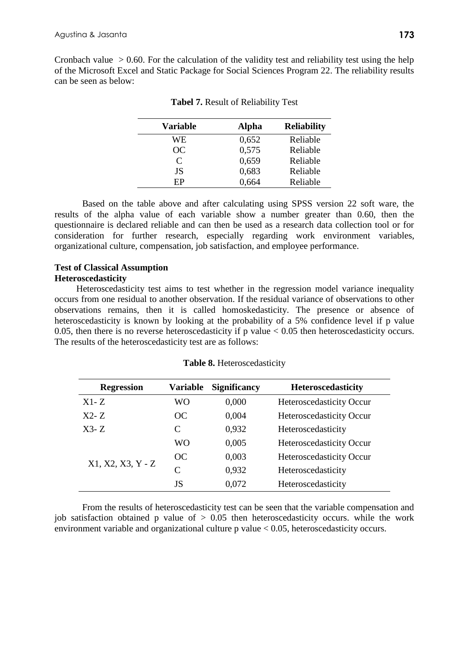Cronbach value  $> 0.60$ . For the calculation of the validity test and reliability test using the help of the Microsoft Excel and Static Package for Social Sciences Program 22. The reliability results can be seen as below:

| <b>Variable</b>             | <b>Alpha</b> | <b>Reliability</b> |
|-----------------------------|--------------|--------------------|
| WE                          | 0,652        | Reliable           |
| <b>OC</b>                   | 0,575        | Reliable           |
| $\mathcal{C}_{\mathcal{C}}$ | 0,659        | Reliable           |
| <b>JS</b>                   | 0,683        | Reliable           |
| ЕP                          | 0,664        | Reliable           |

|  |  | Tabel 7. Result of Reliability Test |  |  |
|--|--|-------------------------------------|--|--|
|--|--|-------------------------------------|--|--|

Based on the table above and after calculating using SPSS version 22 soft ware, the results of the alpha value of each variable show a number greater than 0.60, then the questionnaire is declared reliable and can then be used as a research data collection tool or for consideration for further research, especially regarding work environment variables, organizational culture, compensation, job satisfaction, and employee performance.

# **Test of Classical Assumption Heteroscedasticity**

Heteroscedasticity test aims to test whether in the regression model variance inequality occurs from one residual to another observation. If the residual variance of observations to other observations remains, then it is called homoskedasticity. The presence or absence of heteroscedasticity is known by looking at the probability of a 5% confidence level if p value 0.05, then there is no reverse heteroscedasticity if p value  $< 0.05$  then heteroscedasticity occurs. The results of the heteroscedasticity test are as follows:

| <b>Regression</b> | Variable | <b>Significancy</b> | <b>Heteroscedasticity</b> |
|-------------------|----------|---------------------|---------------------------|
| $X1-Z$            | WO       | 0,000               | Heteroscedasticity Occur  |
| $X2-Z$            | OC       | 0,004               | Heteroscedasticity Occur  |
| $X3-Z$            | C        | 0,932               | Heteroscedasticity        |
|                   | WO.      | 0,005               | Heteroscedasticity Occur  |
|                   | OC       | 0,003               | Heteroscedasticity Occur  |
| X1, X2, X3, Y - Z | C        | 0,932               | Heteroscedasticity        |
|                   | JS       | 0.072               | Heteroscedasticity        |

**Table 8.** Heteroscedasticity

From the results of heteroscedasticity test can be seen that the variable compensation and job satisfaction obtained p value of  $> 0.05$  then heteroscedasticity occurs. while the work environment variable and organizational culture p value < 0.05, heteroscedasticity occurs.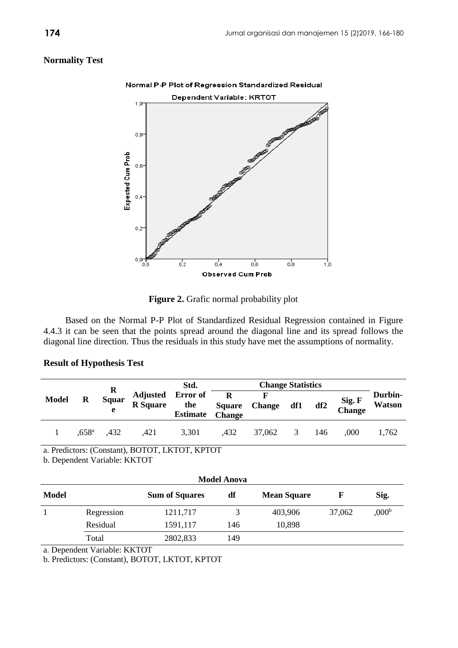# **Normality Test**



Figure 2. Grafic normal probability plot

Based on the Normal P-P Plot of Standardized Residual Regression contained in Figure 4.4.3 it can be seen that the points spread around the diagonal line and its spread follows the diagonal line direction. Thus the residuals in this study have met the assumptions of normality.

# **Result of Hypothesis Test**

|              |                   |                               |                                      | Std.                   | <b>Change Statistics</b>                      |               |     |     |                  |                          |
|--------------|-------------------|-------------------------------|--------------------------------------|------------------------|-----------------------------------------------|---------------|-----|-----|------------------|--------------------------|
| <b>Model</b> | R                 | $\bf{R}$<br><b>Squar</b><br>e | Adjusted Error of<br><b>R</b> Square | the<br><b>Estimate</b> | $\mathbf R$<br><b>Square</b><br><b>Change</b> | <b>Change</b> | df1 | df2 | Sig. F<br>Change | Durbin-<br><b>Watson</b> |
|              | .658 <sup>a</sup> | .432                          | .421                                 | 3,301                  | ,432                                          | 37,062        | 3   | 146 | .000             | 1,762                    |

a. Predictors: (Constant), BOTOT, LKTOT, KPTOT

b. Dependent Variable: KKTOT

| <b>Model Anova</b> |            |                       |     |                    |        |                   |  |  |  |
|--------------------|------------|-----------------------|-----|--------------------|--------|-------------------|--|--|--|
| Model              |            | <b>Sum of Squares</b> | df  | <b>Mean Square</b> | F      | Sig.              |  |  |  |
|                    | Regression | 1211,717              | 3   | 403,906            | 37,062 | ,000 <sup>b</sup> |  |  |  |
|                    | Residual   | 1591,117              | 146 | 10,898             |        |                   |  |  |  |
|                    | Total      | 2802,833              | 149 |                    |        |                   |  |  |  |

a. Dependent Variable: KKTOT

b. Predictors: (Constant), BOTOT, LKTOT, KPTOT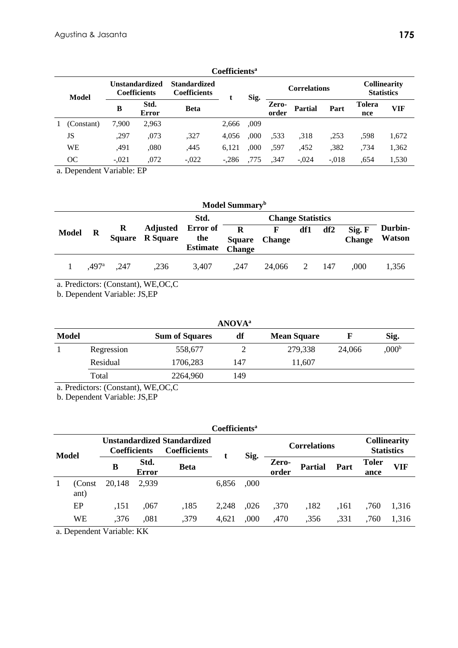|       | Coefficients <sup>a</sup> |                                       |               |                                            |         |      |                     |                |         |                                          |       |
|-------|---------------------------|---------------------------------------|---------------|--------------------------------------------|---------|------|---------------------|----------------|---------|------------------------------------------|-------|
| Model |                           | Unstandardized<br><b>Coefficients</b> |               | <b>Standardized</b><br><b>Coefficients</b> |         | Sig. | <b>Correlations</b> |                |         | <b>Collinearity</b><br><b>Statistics</b> |       |
|       |                           | B                                     | Std.<br>Error | <b>Beta</b>                                |         |      | Zero-<br>order      | <b>Partial</b> | Part    | <b>Tolera</b><br>nce                     | VIF   |
|       | (Constant)                | 7,900                                 | 2,963         |                                            | 2,666   | .009 |                     |                |         |                                          |       |
|       | JS                        | ,297                                  | ,073          | ,327                                       | 4.056   | .000 | .533                | .318           | ,253    | .598                                     | 1,672 |
|       | <b>WE</b>                 | ,491                                  | ,080          | ,445                                       | 6,121   | ,000 | .597                | ,452           | ,382    | .734                                     | 1,362 |
|       | ОC                        | $-.021$                               | ,072          | $-.022$                                    | $-.286$ | .775 | ,347                | $-.024$        | $-.018$ | .654                                     | 1,530 |

a. Dependent Variable: EP

| Model Summary <sup>b</sup> |       |                    |                 |                                             |                                                  |               |            |     |                         |                          |  |
|----------------------------|-------|--------------------|-----------------|---------------------------------------------|--------------------------------------------------|---------------|------------|-----|-------------------------|--------------------------|--|
|                            |       |                    |                 | Std.                                        |                                                  |               |            |     |                         |                          |  |
| <b>Model</b>               | - R   | R<br><b>Square</b> | <b>R</b> Square | Adjusted Error of<br>the<br><b>Estimate</b> | $\mathbf{R}$ F<br><b>Square</b><br><b>Change</b> | <b>Change</b> | df2<br>df1 |     | Sig. F<br><b>Change</b> | Durbin-<br><b>Watson</b> |  |
|                            | .497ª | .247               | ,236            | 3,407                                       | ,247                                             | 24,066        | 2          | 147 | .000                    | 1,356                    |  |

a. Predictors: (Constant), WE,OC,C

b. Dependent Variable: JS,EP

| <b>ANOVA</b> <sup>a</sup> |            |                       |     |                    |        |                   |  |  |  |
|---------------------------|------------|-----------------------|-----|--------------------|--------|-------------------|--|--|--|
| Model                     |            | <b>Sum of Squares</b> | df  | <b>Mean Square</b> |        | Sig.              |  |  |  |
|                           | Regression | 558,677               |     | 279,338            | 24,066 | 0.00 <sup>b</sup> |  |  |  |
|                           | Residual   | 1706,283              | 147 | 11,607             |        |                   |  |  |  |
|                           | Total      | 2264,960              | 149 |                    |        |                   |  |  |  |

a. Predictors: (Constant), WE,OC,C

b. Dependent Variable: JS,EP

|              | <b>Coefficients</b> <sup>a</sup> |                                                                                  |                      |             |       |      |                     |                                          |      |                      |       |
|--------------|----------------------------------|----------------------------------------------------------------------------------|----------------------|-------------|-------|------|---------------------|------------------------------------------|------|----------------------|-------|
| <b>Model</b> |                                  | <b>Unstandardized Standardized</b><br><b>Coefficients</b><br><b>Coefficients</b> |                      |             | Sig.  |      | <b>Correlations</b> | <b>Collinearity</b><br><b>Statistics</b> |      |                      |       |
|              |                                  | B                                                                                | Std.<br><b>Error</b> | <b>Beta</b> |       |      | Zero-<br>order      | <b>Partial</b>                           | Part | <b>Toler</b><br>ance | VIF   |
|              | (Const<br>ant)                   | 20,148                                                                           | 2,939                |             | 6,856 | ,000 |                     |                                          |      |                      |       |
|              | EP                               | .151                                                                             | .067                 | ,185        | 2.248 | .026 | ,370                | ,182                                     | ,161 | .760                 | 1.316 |
|              | WE                               | ,376                                                                             | ,081                 | ,379        | 4,621 | ,000 | ,470                | ,356                                     | ,331 | ,760                 | 1.316 |

a. Dependent Variable: KK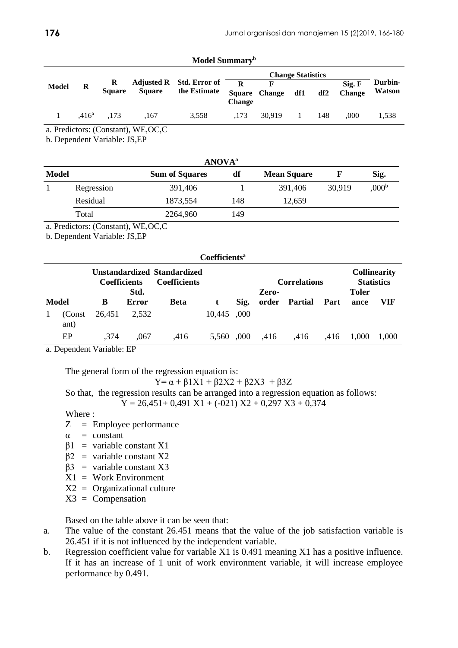|              |                   |                    |               |                                                         |               |                        | <b>Change Statistics</b> |     |                         |                   |
|--------------|-------------------|--------------------|---------------|---------------------------------------------------------|---------------|------------------------|--------------------------|-----|-------------------------|-------------------|
| <b>Model</b> | R                 | R<br><b>Square</b> | <b>Square</b> | Adjusted R Std. Error of $\overline{R}$<br>the Estimate | <b>Change</b> | F<br>Square Change df1 |                          | df2 | Sig. F<br><b>Change</b> | Durbin-<br>Watson |
|              | .416 <sup>a</sup> | .173               | .167          | 3.558                                                   | .173          | 30.919                 | -1.                      | 148 | .000                    | 1,538             |

**Model Summary<sup>b</sup>**

a. Predictors: (Constant), WE,OC,C

b. Dependent Variable: JS,EP

|              | <b>ANOVA</b> <sup>a</sup> |                       |                          |         |        |            |  |  |  |
|--------------|---------------------------|-----------------------|--------------------------|---------|--------|------------|--|--|--|
| <b>Model</b> |                           | <b>Sum of Squares</b> | df<br><b>Mean Square</b> |         |        | Sig.       |  |  |  |
|              | Regression                | 391,406               |                          | 391,406 | 30,919 | $0.00^{b}$ |  |  |  |
|              | Residual                  | 1873,554              | 148                      | 12,659  |        |            |  |  |  |
|              | Total                     | 2264,960              | 149                      |         |        |            |  |  |  |

a. Predictors: (Constant), WE,OC,C

b. Dependent Variable: JS,EP

|                                                                           | Coefficients <sup>a</sup> |        |       |      |        |                     |       |                |                                          |              |       |
|---------------------------------------------------------------------------|---------------------------|--------|-------|------|--------|---------------------|-------|----------------|------------------------------------------|--------------|-------|
| Unstandardized Standardized<br><b>Coefficients</b><br><b>Coefficients</b> |                           |        |       |      |        | <b>Correlations</b> |       |                | <b>Collinearity</b><br><b>Statistics</b> |              |       |
|                                                                           |                           |        | Std.  |      |        |                     | Zero- |                |                                          | <b>Toler</b> |       |
|                                                                           | <b>Model</b>              | B      | Error | Beta |        | Sig.                | order | <b>Partial</b> | Part                                     | ance         | VIF   |
|                                                                           | (Const)<br>ant)           | 26.451 | 2.532 |      | 10,445 | ,000                |       |                |                                          |              |       |
|                                                                           | EP                        | .374   | ,067  | ,416 | 5.560  | .000                | .416  | ,416           | .416                                     | 1.000        | 1.000 |

a. Dependent Variable: EP

The general form of the regression equation is:

$$
Y = \alpha + \beta 1X1 + \beta 2X2 + \beta 2X3 + \beta 3Z
$$

So that, the regression results can be arranged into a regression equation as follows:

 $Y = 26,451+0,491 \text{ X1} + (-021) \text{ X2} + 0,297 \text{ X3} + 0,374$ 

Where :

- Z = Employee performance
- $\alpha$  = constant
- $β1 = variable constant X1$
- $\beta$ 2 = variable constant X2
- $β3 = variable constant X3$
- $X1 = Work Environment$
- $X2 =$  Organizational culture
- $X3 =$  Compensation

Based on the table above it can be seen that:

- a. The value of the constant 26.451 means that the value of the job satisfaction variable is 26.451 if it is not influenced by the independent variable.
- b. Regression coefficient value for variable X1 is 0.491 meaning X1 has a positive influence. If it has an increase of 1 unit of work environment variable, it will increase employee performance by 0.491.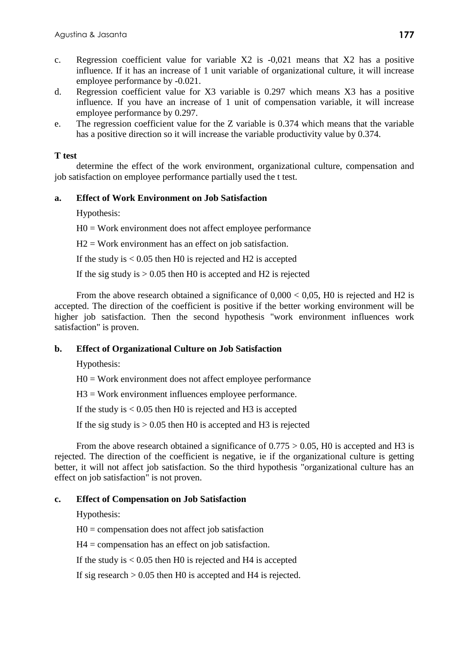- c. Regression coefficient value for variable X2 is -0,021 means that X2 has a positive influence. If it has an increase of 1 unit variable of organizational culture, it will increase employee performance by -0.021.
- d. Regression coefficient value for X3 variable is 0.297 which means X3 has a positive influence. If you have an increase of 1 unit of compensation variable, it will increase employee performance by 0.297.
- e. The regression coefficient value for the Z variable is 0.374 which means that the variable has a positive direction so it will increase the variable productivity value by 0.374.

# **T test**

determine the effect of the work environment, organizational culture, compensation and job satisfaction on employee performance partially used the t test.

# **a. Effect of Work Environment on Job Satisfaction**

Hypothesis:

H0 = Work environment does not affect employee performance

 $H2 = Work$  environment has an effect on job satisfaction.

If the study is  $< 0.05$  then H0 is rejected and H2 is accepted

If the sig study is  $> 0.05$  then H0 is accepted and H2 is rejected

From the above research obtained a significance of  $0,000 < 0,05$ , H0 is rejected and H2 is accepted. The direction of the coefficient is positive if the better working environment will be higher job satisfaction. Then the second hypothesis "work environment influences work satisfaction" is proven.

# **b. Effect of Organizational Culture on Job Satisfaction**

Hypothesis:

H0 = Work environment does not affect employee performance

H3 = Work environment influences employee performance.

If the study is  $< 0.05$  then H0 is rejected and H3 is accepted

If the sig study is  $> 0.05$  then H0 is accepted and H3 is rejected

From the above research obtained a significance of  $0.775 > 0.05$ , H0 is accepted and H3 is rejected. The direction of the coefficient is negative, ie if the organizational culture is getting better, it will not affect job satisfaction. So the third hypothesis "organizational culture has an effect on job satisfaction" is not proven.

# **c. Effect of Compensation on Job Satisfaction**

Hypothesis:

 $H0 =$  compensation does not affect job satisfaction

 $H4 =$  compensation has an effect on job satisfaction.

If the study is  $< 0.05$  then H0 is rejected and H4 is accepted

If sig research  $> 0.05$  then H0 is accepted and H4 is rejected.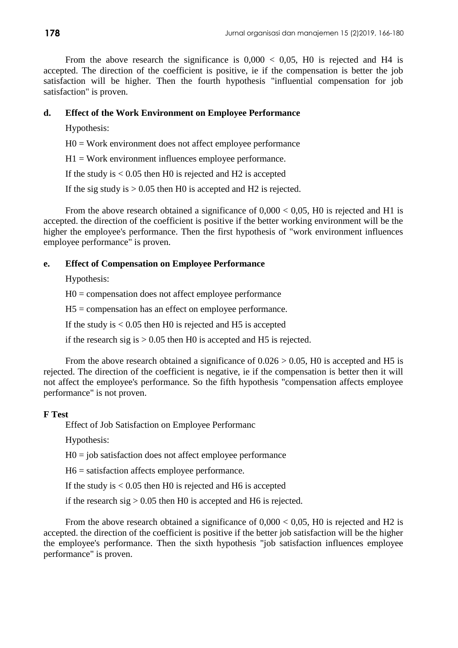From the above research the significance is  $0,000 < 0,05$ , H0 is rejected and H4 is accepted. The direction of the coefficient is positive, ie if the compensation is better the job satisfaction will be higher. Then the fourth hypothesis "influential compensation for job satisfaction" is proven.

# **d. Effect of the Work Environment on Employee Performance**

Hypothesis:

H0 = Work environment does not affect employee performance

 $H1 = Work$  environment influences employee performance.

If the study is  $< 0.05$  then H0 is rejected and H2 is accepted

If the sig study is  $> 0.05$  then H0 is accepted and H2 is rejected.

From the above research obtained a significance of  $0,000 < 0,05$ , H0 is rejected and H1 is accepted. the direction of the coefficient is positive if the better working environment will be the higher the employee's performance. Then the first hypothesis of "work environment influences employee performance" is proven.

# **e. Effect of Compensation on Employee Performance**

Hypothesis:

 $H0 =$  compensation does not affect employee performance

H5 = compensation has an effect on employee performance.

If the study is  $< 0.05$  then H0 is rejected and H5 is accepted

if the research sig is  $> 0.05$  then H0 is accepted and H5 is rejected.

From the above research obtained a significance of  $0.026 > 0.05$ , H0 is accepted and H5 is rejected. The direction of the coefficient is negative, ie if the compensation is better then it will not affect the employee's performance. So the fifth hypothesis "compensation affects employee performance" is not proven.

# **F Test**

Effect of Job Satisfaction on Employee Performanc

Hypothesis:

 $H0 = job$  satisfaction does not affect employee performance

H6 = satisfaction affects employee performance.

If the study is  $< 0.05$  then H0 is rejected and H6 is accepted

if the research sig  $> 0.05$  then H0 is accepted and H6 is rejected.

From the above research obtained a significance of  $0.000 < 0.05$ , H0 is rejected and H2 is accepted. the direction of the coefficient is positive if the better job satisfaction will be the higher the employee's performance. Then the sixth hypothesis "job satisfaction influences employee performance" is proven.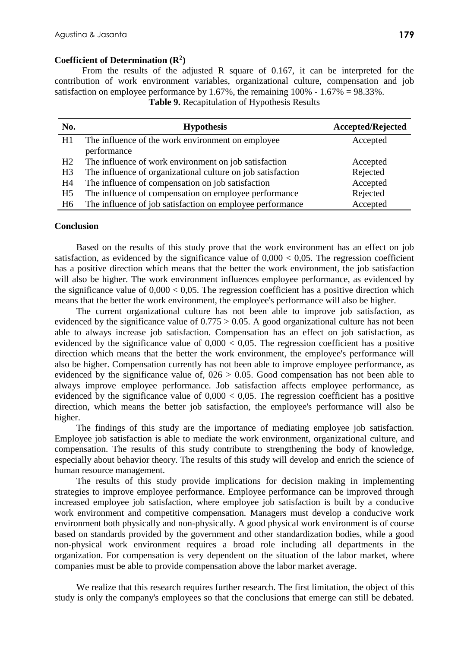## **Coefficient of Determination (R<sup>2</sup> )**

From the results of the adjusted R square of 0.167, it can be interpreted for the contribution of work environment variables, organizational culture, compensation and job satisfaction on employee performance by 1.67%, the remaining  $100\% - 1.67\% = 98.33\%$ .

**Table 9.** Recapitulation of Hypothesis Results

| No.            | <b>Hypothesis</b>                                           | <b>Accepted/Rejected</b> |
|----------------|-------------------------------------------------------------|--------------------------|
| H1             | The influence of the work environment on employee           | Accepted                 |
|                | performance                                                 |                          |
| H2             | The influence of work environment on job satisfaction       | Accepted                 |
| H <sub>3</sub> | The influence of organizational culture on job satisfaction | Rejected                 |
| H4             | The influence of compensation on job satisfaction           | Accepted                 |
| H <sub>5</sub> | The influence of compensation on employee performance       | Rejected                 |
| H <sub>6</sub> | The influence of job satisfaction on employee performance   | Accepted                 |

### **Conclusion**

Based on the results of this study prove that the work environment has an effect on job satisfaction, as evidenced by the significance value of  $0.000 < 0.05$ . The regression coefficient has a positive direction which means that the better the work environment, the job satisfaction will also be higher. The work environment influences employee performance, as evidenced by the significance value of  $0,000 < 0,05$ . The regression coefficient has a positive direction which means that the better the work environment, the employee's performance will also be higher.

The current organizational culture has not been able to improve job satisfaction, as evidenced by the significance value of  $0.775 > 0.05$ . A good organizational culture has not been able to always increase job satisfaction. Compensation has an effect on job satisfaction, as evidenced by the significance value of  $0,000 < 0,05$ . The regression coefficient has a positive direction which means that the better the work environment, the employee's performance will also be higher. Compensation currently has not been able to improve employee performance, as evidenced by the significance value of,  $0.026 > 0.05$ . Good compensation has not been able to always improve employee performance. Job satisfaction affects employee performance, as evidenced by the significance value of  $0,000 < 0,05$ . The regression coefficient has a positive direction, which means the better job satisfaction, the employee's performance will also be higher.

The findings of this study are the importance of mediating employee job satisfaction. Employee job satisfaction is able to mediate the work environment, organizational culture, and compensation. The results of this study contribute to strengthening the body of knowledge, especially about behavior theory. The results of this study will develop and enrich the science of human resource management.

The results of this study provide implications for decision making in implementing strategies to improve employee performance. Employee performance can be improved through increased employee job satisfaction, where employee job satisfaction is built by a conducive work environment and competitive compensation. Managers must develop a conducive work environment both physically and non-physically. A good physical work environment is of course based on standards provided by the government and other standardization bodies, while a good non-physical work environment requires a broad role including all departments in the organization. For compensation is very dependent on the situation of the labor market, where companies must be able to provide compensation above the labor market average.

We realize that this research requires further research. The first limitation, the object of this study is only the company's employees so that the conclusions that emerge can still be debated.